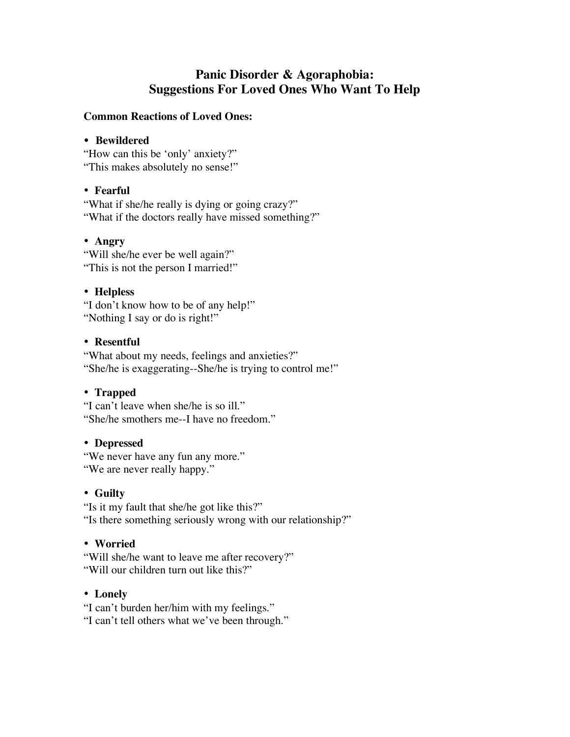# **Panic Disorder & Agoraphobia: Suggestions For Loved Ones Who Want To Help**

#### **Common Reactions of Loved Ones:**

#### • **Bewildered**

"How can this be 'only' anxiety?" "This makes absolutely no sense!"

# • **Fearful**

"What if she/he really is dying or going crazy?" "What if the doctors really have missed something?"

## • **Angry**

"Will she/he ever be well again?" "This is not the person I married!"

## • **Helpless**

"I don't know how to be of any help!" "Nothing I say or do is right!"

#### • **Resentful**

"What about my needs, feelings and anxieties?" "She/he is exaggerating--She/he is trying to control me!"

## • **Trapped**

"I can't leave when she/he is so ill." "She/he smothers me--I have no freedom."

#### • **Depressed**

"We never have any fun any more." "We are never really happy."

## • **Guilty**

"Is it my fault that she/he got like this?" "Is there something seriously wrong with our relationship?"

## • **Worried**

"Will she/he want to leave me after recovery?" "Will our children turn out like this?"

## • **Lonely**

"I can't burden her/him with my feelings." "I can't tell others what we've been through."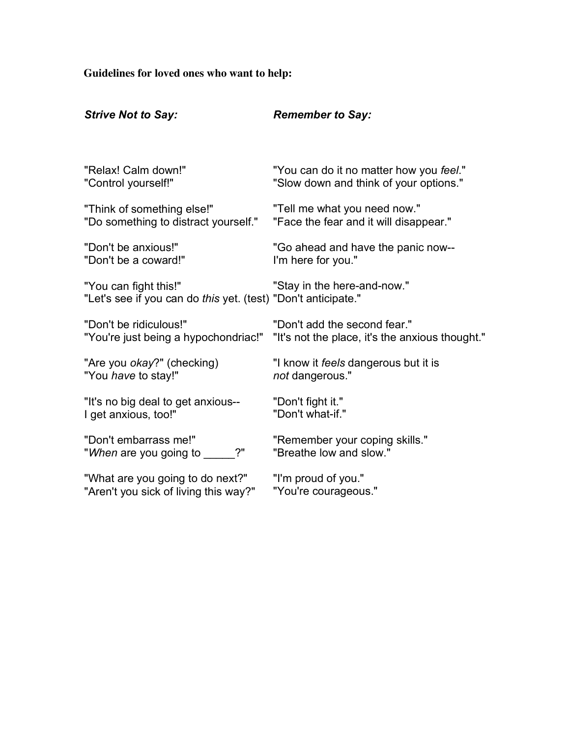**Guidelines for loved ones who want to help:**

| <b>Strive Not to Say:</b>                                                              | <b>Remember to Say:</b>                                   |
|----------------------------------------------------------------------------------------|-----------------------------------------------------------|
| "Relax! Calm down!"                                                                    | "You can do it no matter how you feel."                   |
| "Control yourself!"                                                                    | "Slow down and think of your options."                    |
| "Think of something else!"                                                             | "Tell me what you need now."                              |
| "Do something to distract yourself."                                                   | "Face the fear and it will disappear."                    |
| "Don't be anxious!"                                                                    | "Go ahead and have the panic now--                        |
| "Don't be a coward!"                                                                   | I'm here for you."                                        |
| "You can fight this!"<br>"Let's see if you can do this yet. (test) "Don't anticipate." | "Stay in the here-and-now."                               |
| "Don't be ridiculous!"                                                                 | "Don't add the second fear."                              |
| "You're just being a hypochondriac!"                                                   | "It's not the place, it's the anxious thought."           |
| "Are you okay?" (checking)                                                             | "I know it feels dangerous but it is                      |
| "You have to stay!"                                                                    | not dangerous."                                           |
| "It's no big deal to get anxious--                                                     | "Don't fight it."                                         |
| I get anxious, too!"                                                                   | "Don't what-if."                                          |
| "Don't embarrass me!"<br>2"<br>"When are you going to                                  | "Remember your coping skills."<br>"Breathe low and slow." |
| "What are you going to do next?"                                                       | "I'm proud of you."                                       |
| "Aren't you sick of living this way?"                                                  | "You're courageous."                                      |